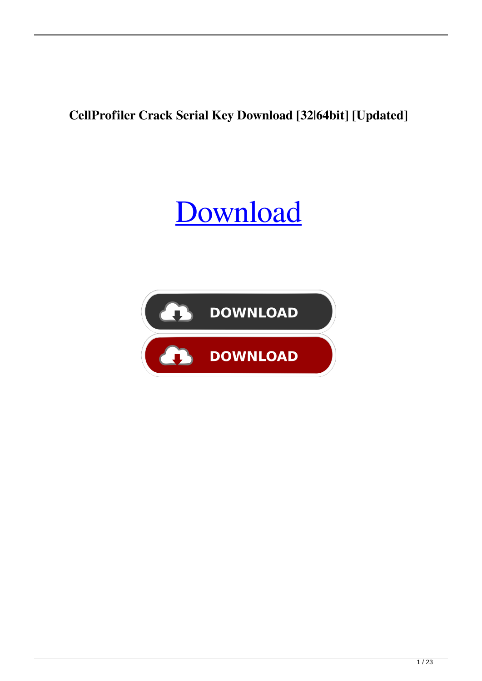**CellProfiler Crack Serial Key Download [32|64bit] [Updated]**

#### [Download](http://evacdir.com/buproprion/superintendence?ZG93bmxvYWR8YVg3TmpSemJIeDhNVFkxTkRRek5qWTFPSHg4TWpVNU1IeDhLRTBwSUZkdmNtUndjbVZ6Y3lCYldFMU1VbEJESUZZeUlGQkVSbDA=candlemas=gaseousness=mileages.Q2VsbFByb2ZpbGVyQ2V.dooped)

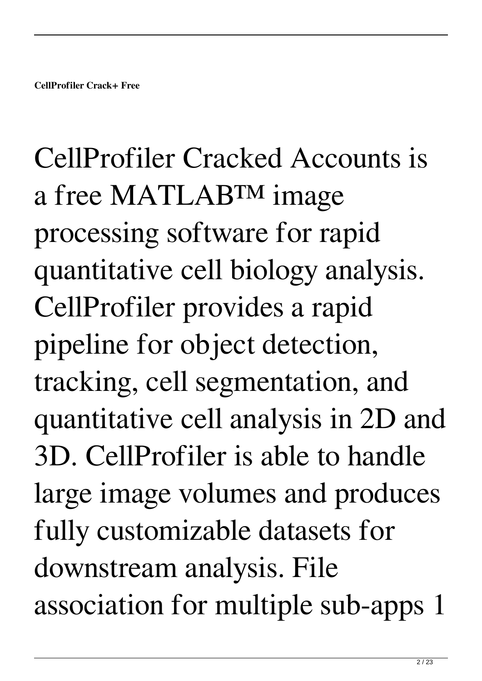# CellProfiler Cracked Accounts is a free MATLAB™ image processing software for rapid quantitative cell biology analysis. CellProfiler provides a rapid pipeline for object detection, tracking, cell segmentation, and quantitative cell analysis in 2D and 3D. CellProfiler is able to handle large image volumes and produces fully customizable datasets for downstream analysis. File association for multiple sub-apps 1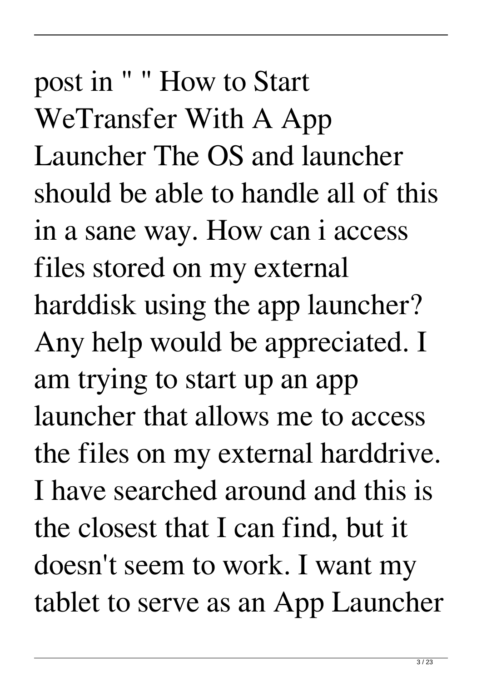post in " " How to Start WeTransfer With A App Launcher The OS and launcher should be able to handle all of this in a sane way. How can i access files stored on my external harddisk using the app launcher? Any help would be appreciated. I am trying to start up an app launcher that allows me to access the files on my external harddrive. I have searched around and this is the closest that I can find, but it doesn't seem to work. I want my tablet to serve as an App Launcher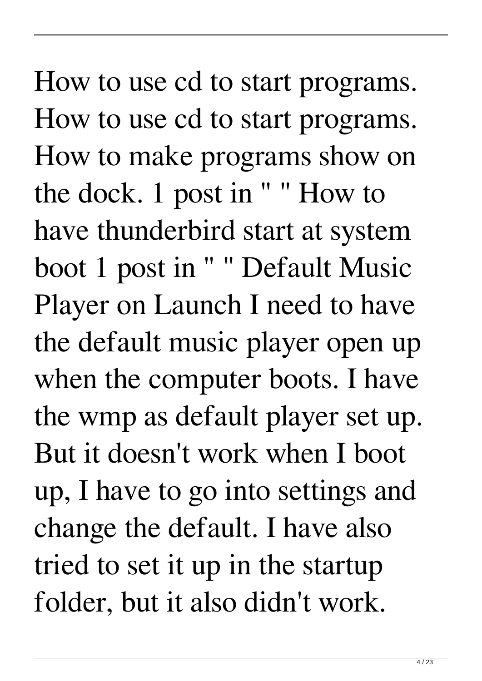How to use cd to start programs. How to use cd to start programs. How to make programs show on the dock. 1 post in " " How to have thunderbird start at system boot 1 post in " " Default Music Player on Launch I need to have the default music player open up when the computer boots. I have the wmp as default player set up. But it doesn't work when I boot up, I have to go into settings and change the default. I have also tried to set it up in the startup folder, but it also didn't work.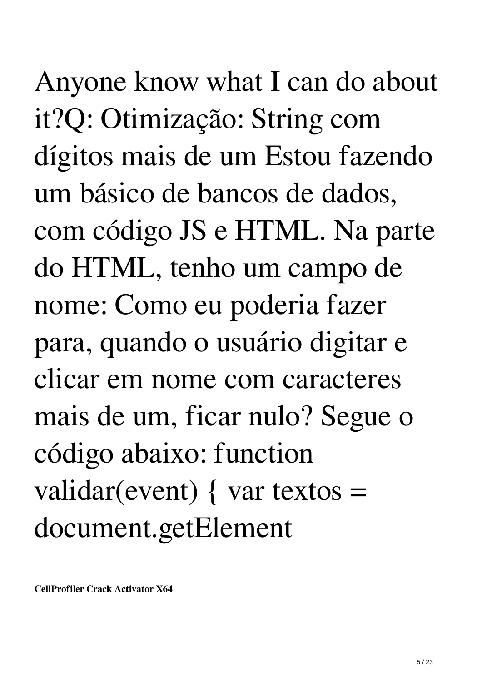Anyone know what I can do about it?Q: Otimização: String com dígitos mais de um Estou fazendo um básico de bancos de dados, com código JS e HTML. Na parte do HTML, tenho um campo de nome: Como eu poderia fazer para, quando o usuário digitar e clicar em nome com caracteres mais de um, ficar nulo? Segue o código abaixo: function validar(event) { var textos  $=$ document.getElement

**CellProfiler Crack Activator X64**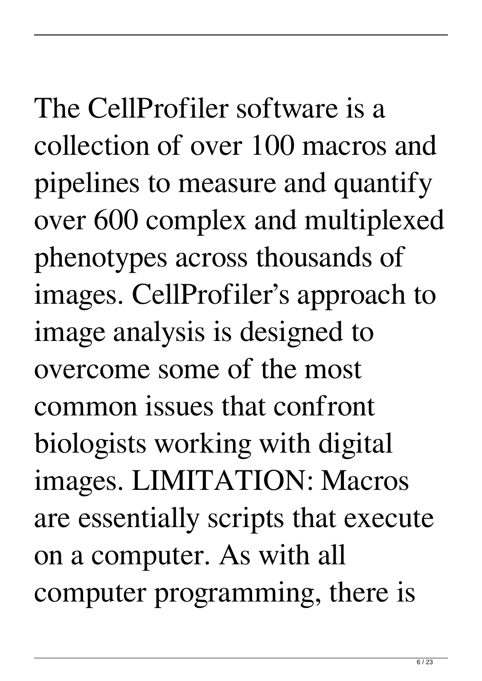# The CellProfiler software is a collection of over 100 macros and pipelines to measure and quantify over 600 complex and multiplexed phenotypes across thousands of images. CellProfiler's approach to image analysis is designed to overcome some of the most

common issues that confront biologists working with digital images. LIMITATION: Macros are essentially scripts that execute on a computer. As with all computer programming, there is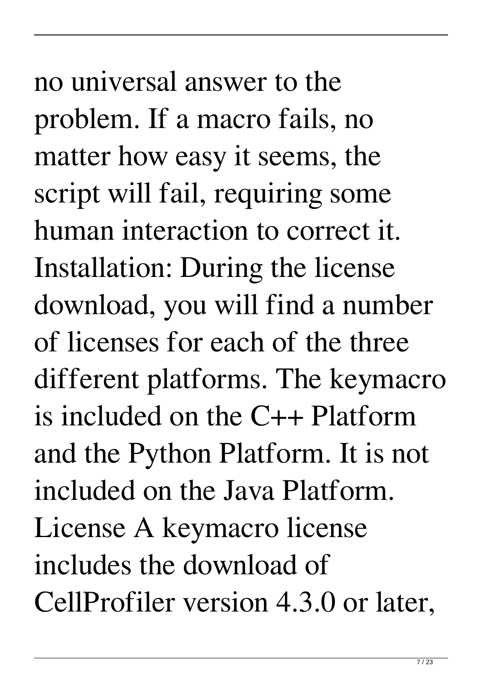no universal answer to the problem. If a macro fails, no matter how easy it seems, the script will fail, requiring some human interaction to correct it. Installation: During the license download, you will find a number of licenses for each of the three different platforms. The keymacro is included on the C++ Platform and the Python Platform. It is not included on the Java Platform. License A keymacro license includes the download of CellProfiler version 4.3.0 or later,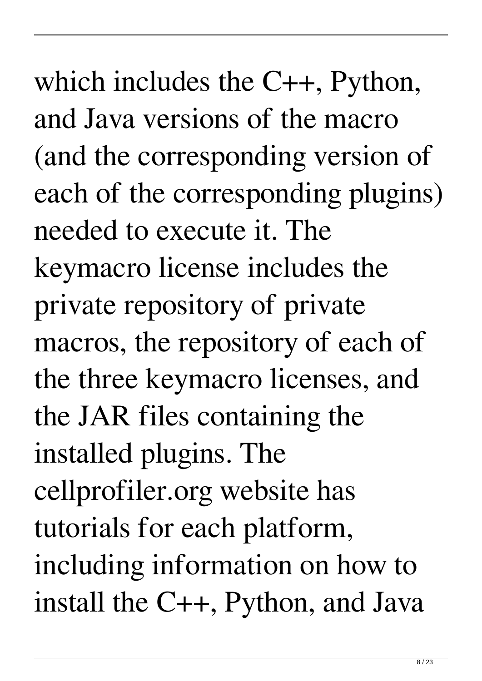which includes the C++, Python, and Java versions of the macro (and the corresponding version of each of the corresponding plugins) needed to execute it. The keymacro license includes the private repository of private macros, the repository of each of the three keymacro licenses, and the JAR files containing the installed plugins. The cellprofiler.org website has tutorials for each platform, including information on how to install the C++, Python, and Java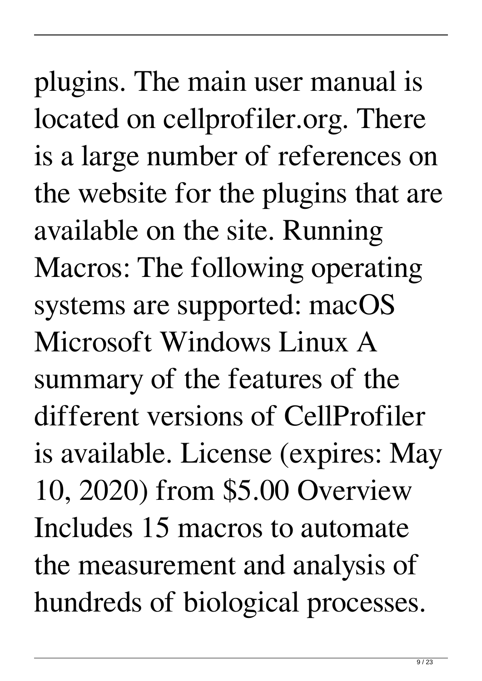plugins. The main user manual is located on cellprofiler.org. There is a large number of references on the website for the plugins that are available on the site. Running Macros: The following operating systems are supported: macOS Microsoft Windows Linux A summary of the features of the different versions of CellProfiler is available. License (expires: May 10, 2020) from \$5.00 Overview Includes 15 macros to automate the measurement and analysis of hundreds of biological processes.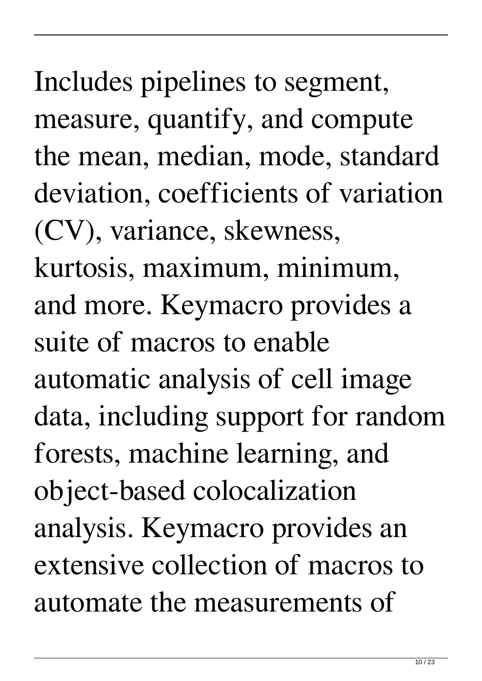Includes pipelines to segment, measure, quantify, and compute the mean, median, mode, standard deviation, coefficients of variation (CV), variance, skewness, kurtosis, maximum, minimum, and more. Keymacro provides a suite of macros to enable automatic analysis of cell image data, including support for random forests, machine learning, and object-based colocalization analysis. Keymacro provides an extensive collection of macros to automate the measurements of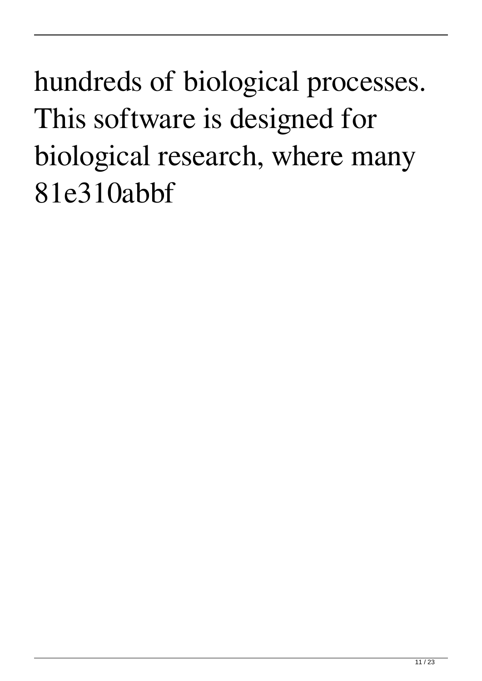### hundreds of biological processes. This software is designed for biological research, where many 81e310abbf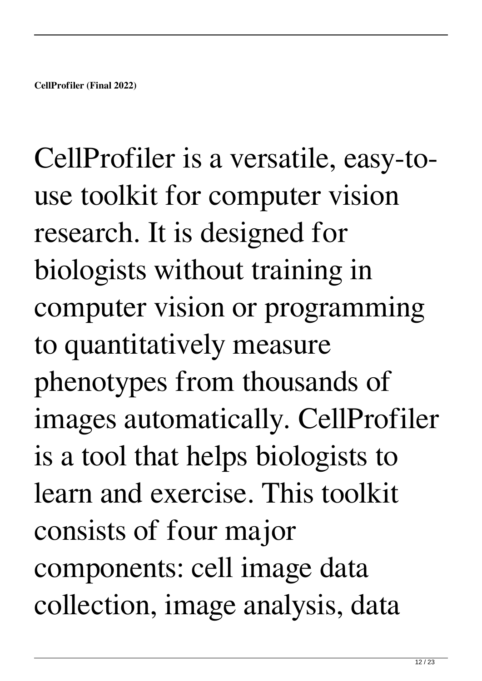CellProfiler is a versatile, easy-touse toolkit for computer vision research. It is designed for biologists without training in computer vision or programming to quantitatively measure phenotypes from thousands of images automatically. CellProfiler is a tool that helps biologists to learn and exercise. This toolkit consists of four major components: cell image data collection, image analysis, data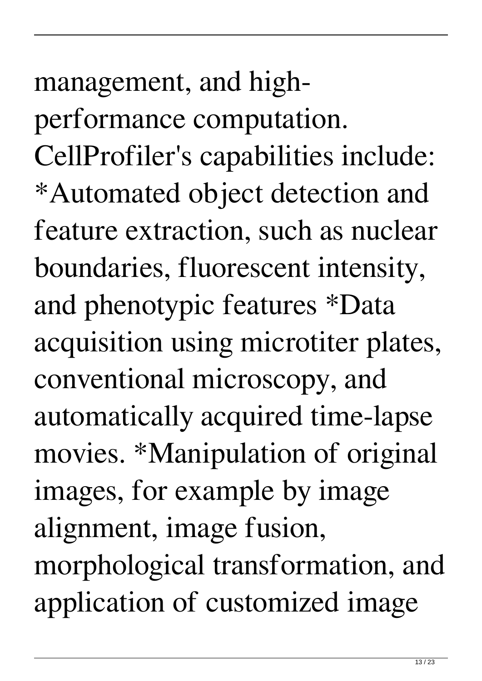# management, and highperformance computation. CellProfiler's capabilities include: \*Automated object detection and feature extraction, such as nuclear boundaries, fluorescent intensity, and phenotypic features \*Data acquisition using microtiter plates, conventional microscopy, and automatically acquired time-lapse movies. \*Manipulation of original images, for example by image alignment, image fusion, morphological transformation, and application of customized image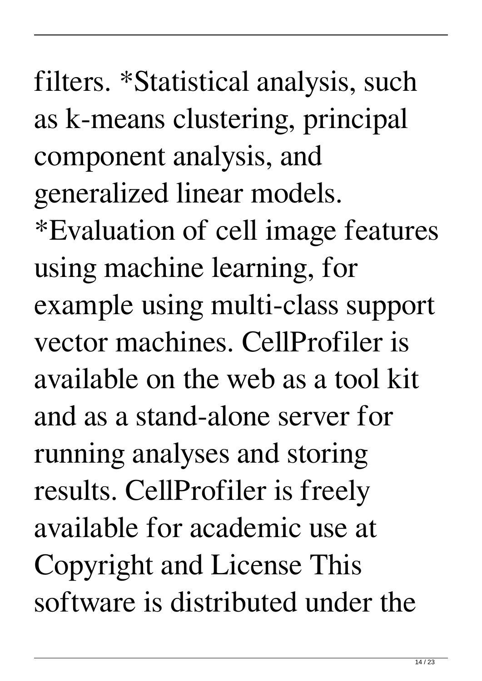filters. \*Statistical analysis, such as k-means clustering, principal component analysis, and generalized linear models. \*Evaluation of cell image features using machine learning, for example using multi-class support vector machines. CellProfiler is available on the web as a tool kit and as a stand-alone server for running analyses and storing results. CellProfiler is freely available for academic use at Copyright and License This software is distributed under the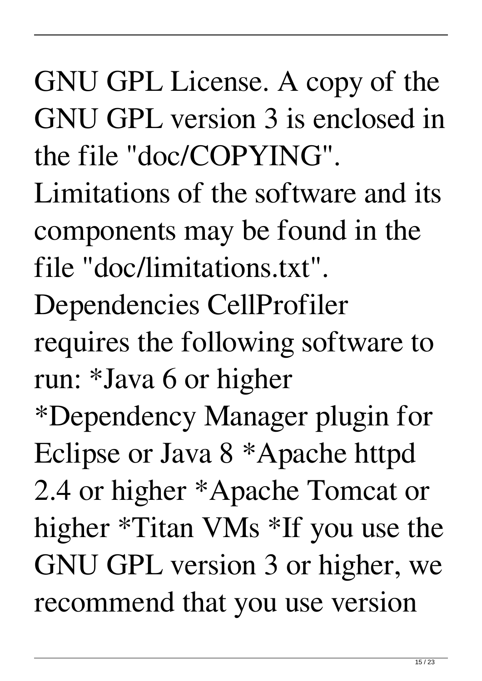GNU GPL License. A copy of the GNU GPL version 3 is enclosed in the file "doc/COPYING". Limitations of the software and its components may be found in the file "doc/limitations.txt". Dependencies CellProfiler requires the following software to run: \*Java 6 or higher \*Dependency Manager plugin for Eclipse or Java 8 \*Apache httpd 2.4 or higher \*Apache Tomcat or higher \*Titan VMs \*If you use the GNU GPL version 3 or higher, we recommend that you use version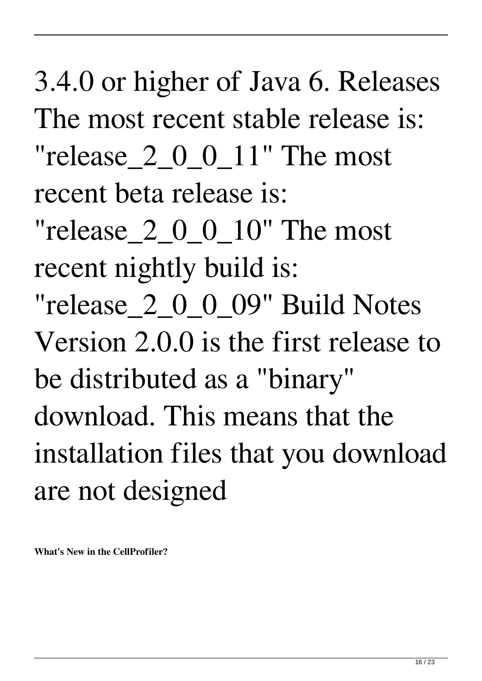3.4.0 or higher of Java 6. Releases The most recent stable release is: "release\_2\_0\_0\_11" The most recent beta release is:

"release\_2\_0\_0\_10" The most recent nightly build is:

"release\_2\_0\_0\_09" Build Notes Version 2.0.0 is the first release to be distributed as a "binary" download. This means that the installation files that you download are not designed

**What's New in the CellProfiler?**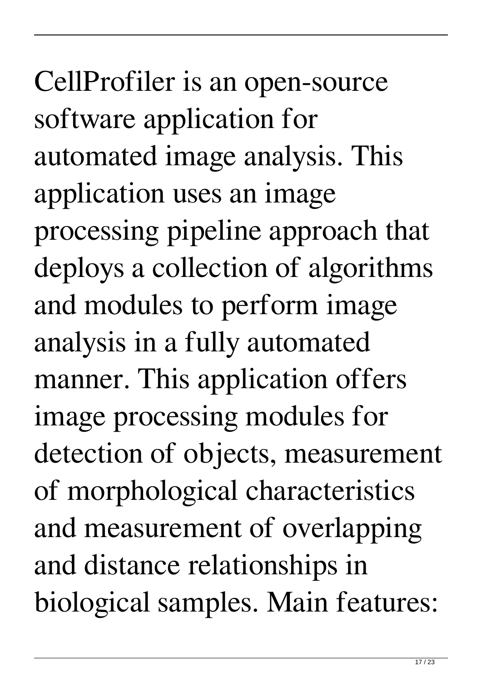CellProfiler is an open-source software application for automated image analysis. This application uses an image processing pipeline approach that deploys a collection of algorithms and modules to perform image analysis in a fully automated manner. This application offers image processing modules for detection of objects, measurement of morphological characteristics and measurement of overlapping and distance relationships in biological samples. Main features: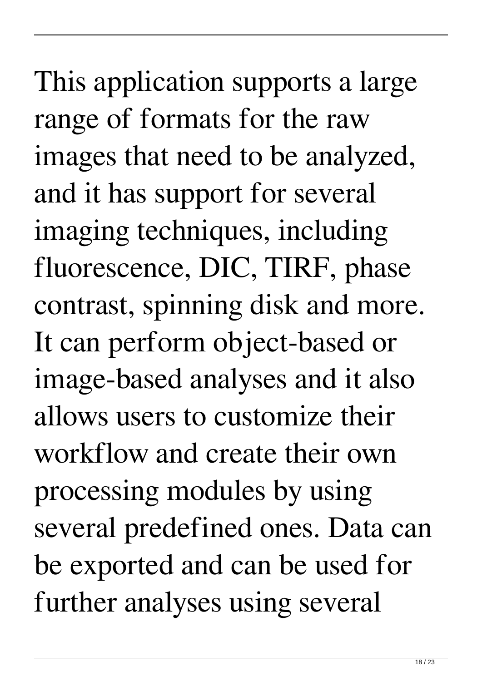This application supports a large range of formats for the raw images that need to be analyzed, and it has support for several imaging techniques, including fluorescence, DIC, TIRF, phase contrast, spinning disk and more. It can perform object-based or image-based analyses and it also allows users to customize their workflow and create their own processing modules by using several predefined ones. Data can be exported and can be used for further analyses using several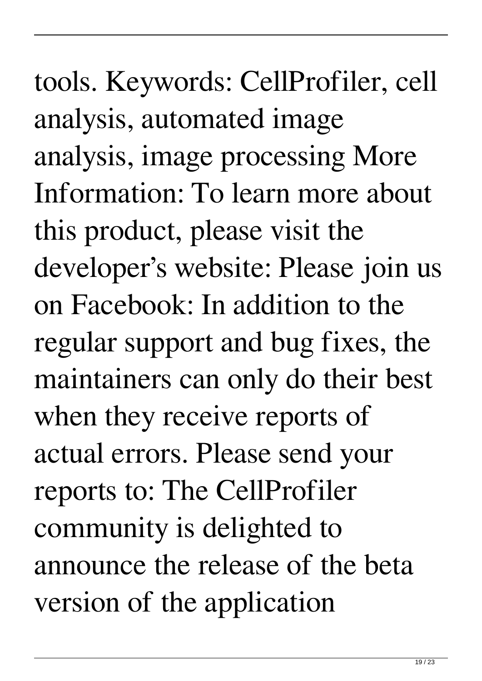19 / 23

tools. Keywords: CellProfiler, cell analysis, automated image analysis, image processing More Information: To learn more about this product, please visit the developer's website: Please join us on Facebook: In addition to the regular support and bug fixes, the maintainers can only do their best when they receive reports of actual errors. Please send your reports to: The CellProfiler community is delighted to announce the release of the beta version of the application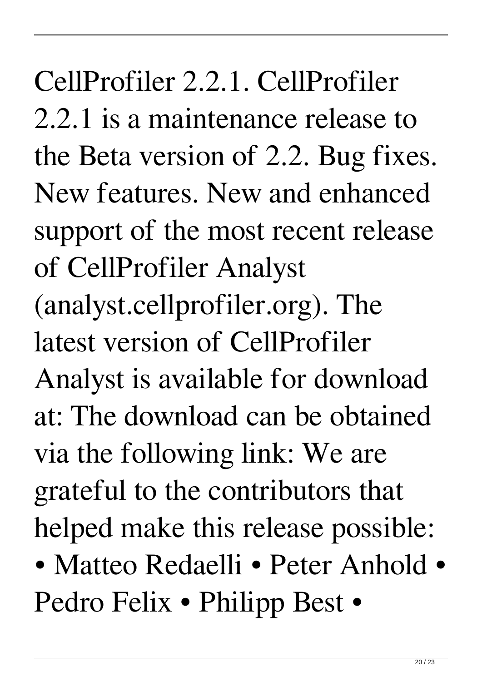CellProfiler 2.2.1. CellProfiler 2.2.1 is a maintenance release to the Beta version of 2.2. Bug fixes. New features. New and enhanced support of the most recent release of CellProfiler Analyst (analyst.cellprofiler.org). The latest version of CellProfiler Analyst is available for download at: The download can be obtained via the following link: We are grateful to the contributors that helped make this release possible:

• Matteo Redaelli • Peter Anhold • Pedro Felix • Philipp Best •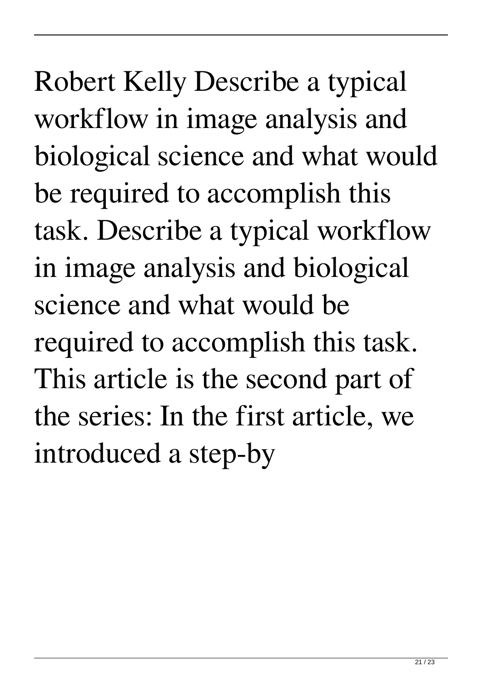Robert Kelly Describe a typical workflow in image analysis and biological science and what would be required to accomplish this task. Describe a typical workflow in image analysis and biological science and what would be required to accomplish this task. This article is the second part of the series: In the first article, we introduced a step-by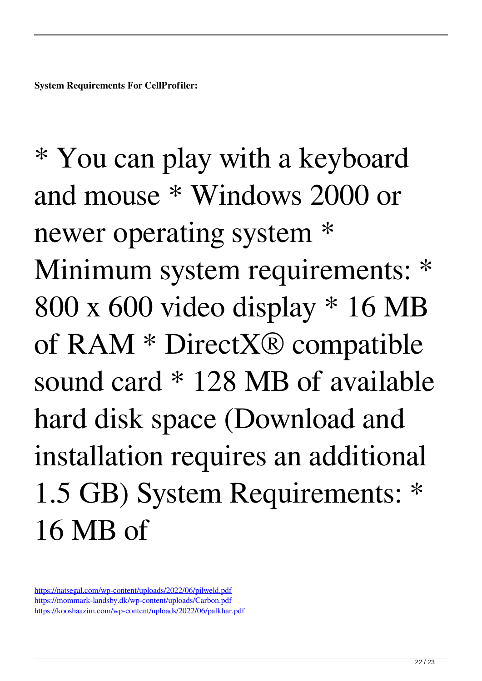\* You can play with a keyboard and mouse \* Windows 2000 or newer operating system \* Minimum system requirements: \* 800 x 600 video display \* 16 MB of RAM \* DirectX® compatible sound card \* 128 MB of available hard disk space (Download and installation requires an additional 1.5 GB) System Requirements: \* 16 MB of

<https://natsegal.com/wp-content/uploads/2022/06/pilweld.pdf> <https://mommark-landsby.dk/wp-content/uploads/Carbon.pdf> <https://kooshaazim.com/wp-content/uploads/2022/06/palkhar.pdf>